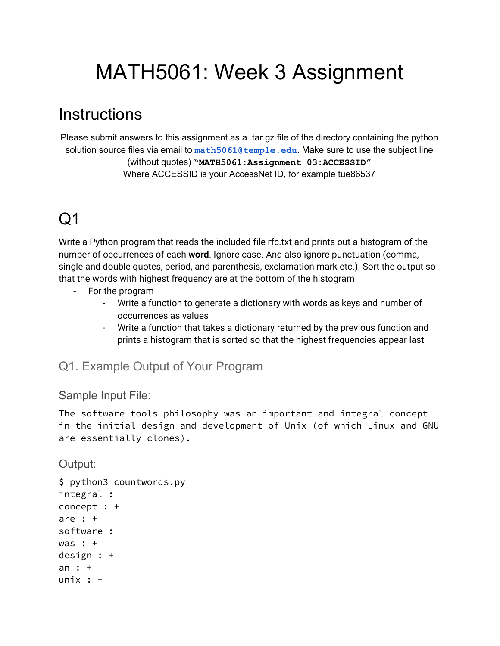# MATH5061: Week 3 Assignment

### **Instructions**

Please submit answers to this assignment as a .tar.gz file of the directory containing the python solution source files via email to **[math5061@temple.edu](mailto:math5061@temple.edu)**. Make sure to use the subject line (without quotes) **"MATH5061:Assignment 03:ACCESSID"** Where ACCESSID is your AccessNet ID, for example tue86537

# Q1

Write a Python program that reads the included file rfc.txt and prints out a histogram of the number of occurrences of each **word**. Ignore case. And also ignore punctuation (comma, single and double quotes, period, and parenthesis, exclamation mark etc.). Sort the output so that the words with highest frequency are at the bottom of the histogram

- For the program
	- Write a function to generate a dictionary with words as keys and number of occurrences as values
	- Write a function that takes a dictionary returned by the previous function and prints a histogram that is sorted so that the highest frequencies appear last

### Q1. Example Output of Your Program

#### Sample Input File:

The software tools philosophy was an important and integral concept in the initial design and development of Unix (of which Linux and GNU are essentially clones).

Output:

```
$ python3 countwords.py
integral : +
concept : +
are : +
software : +
was : +
design : +
an : +
unix : +
```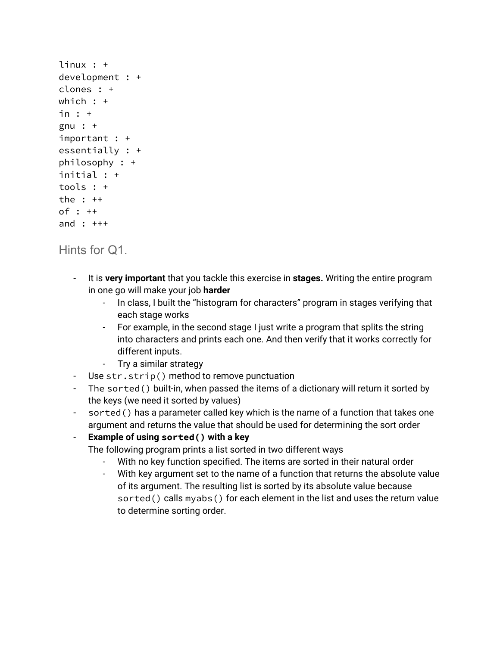```
linux : +
development : +
clones : +
which : +in : +
gnu : +
important : +
essentially : +
philosophy : +
initial : +
tools : +
the : ++
of : ++
and : +++
```
### Hints for Q1.

- It is **very important** that you tackle this exercise in **stages.** Writing the entire program in one go will make your job **harder**
	- In class, I built the "histogram for characters" program in stages verifying that each stage works
	- For example, in the second stage I just write a program that splits the string into characters and prints each one. And then verify that it works correctly for different inputs.
	- Try a similar strategy
- Use str.strip() method to remove punctuation
- The sorted() built-in, when passed the items of a dictionary will return it sorted by the keys (we need it sorted by values)
- sorted() has a parameter called key which is the name of a function that takes one argument and returns the value that should be used for determining the sort order

#### - **Example of using sorted() with a key**

The following program prints a list sorted in two different ways

- With no key function specified. The items are sorted in their natural order
- With key argument set to the name of a function that returns the absolute value of its argument. The resulting list is sorted by its absolute value because sorted() calls myabs() for each element in the list and uses the return value to determine sorting order.